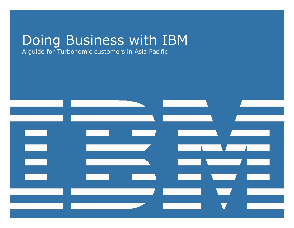# Doing Business with IBM

A guide for Turbonomic customers in Asia Pacific

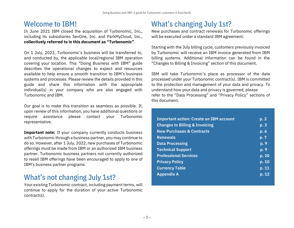### Welcome to IBM!

In June 2021 IBM closed the acquisition of Turbonomic, Inc., including its subsidiaries SevOne, Inc. and ParkMyCloud, Inc., collectively referred to in this document as "Turbonomic".

On 1 July, 2022, Turbonomic's business will be transferred to, and conducted by, the applicable local/regional IBM operation covering your location. This "Doing Business with IBM" guide describes the operational changes to expect and resources available to help ensure a smooth transition to IBM's business systems and processes. Please review the details provided in this guide and share this information with the appropriate individual(s) in your company who are also engaged with Turbonomic and IBM.

Our goal is to make this transition as seamless as possible. If, upon review of this information, you have additional questions or require assistance please contact your Turbonomic representative.

**Important note:** If your company currently conducts business with Turbonomic through a business partner, you may continue to do so. However, after 1 July, 2022, new purchases of Turbonomic offerings must be made from IBM or an authorized IBM business partner. Turbonomic business partners not currently authorized to resell IBM offerings have been encouraged to apply to one of IBM's business partner programs.

## What's not changing July 1st?

Your existing Turbonomic contract, including payment terms, will continue to apply for the duration of your active Turbonomic contract(s).

## **What's changing July 1st?**

New purchases and contract renewals for Turbonomic offerings will be executed under a standard IBM agreement.

Starting with the July billing cycle, customers previously invoiced by Turbonomic will receive an IBM invoice generated from IBM billing systems. Additional information can be found in the "Changes to Billing & Invoicing" section of this document.

IBM will take Turbonomic's place as processor of the data processed under your Turbonomic contract(s). IBM is committed to the protection and management of your data and privacy. To understand how your data and privacy is governed, please refer to the "Data Processing" and "Privacy Policy" sections of this document.

| <b>Important action: Create an IBM account</b> | p. 2  |
|------------------------------------------------|-------|
| <b>Changes to Billing &amp; Invoicing</b>      | p. 3  |
| <b>New Purchases &amp; Contracts</b>           | p.6   |
| <b>Renewals</b>                                | p.7   |
| <b>Data Processing</b>                         | p. 9  |
| <b>Technical Support</b>                       | p.9   |
| <b>Professional Services</b>                   | p. 10 |
| <b>Privacy Policy</b>                          | p. 10 |
| <b>Currency Table</b>                          | p. 11 |
| <b>Appendix A</b>                              | p. 12 |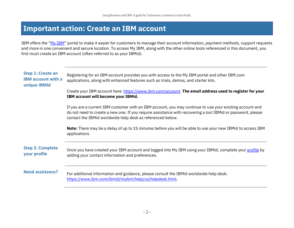### <span id="page-2-0"></span>**Important action: Create an IBM account**

IBM offers the "[My IBM](https://myibm.ibm.com/)" portal to make it easier for customers to manage their account information, payment methods, support requests and more in one convenient and secure location. To access My IBM, along with the other online tools referenced in this document, you first must create an IBM account (often referred to as your IBMid).

| <b>Step 1: Create an</b><br><b>IBM account with a</b><br>unique IBMid | Registering for an IBM account provides you with access to the My IBM portal and other IBM.com<br>applications, along with enhanced features such as trials, demos, and starter kits.                                                                                                 |
|-----------------------------------------------------------------------|---------------------------------------------------------------------------------------------------------------------------------------------------------------------------------------------------------------------------------------------------------------------------------------|
|                                                                       | Create your IBM account here: https://www.ibm.com/account. The email address used to register for your<br>IBM account will become your IBMid.                                                                                                                                         |
|                                                                       | If you are a current IBM customer with an IBM account, you may continue to use your existing account and<br>do not need to create a new one. If you require assistance with recovering a lost IBMid or password, please<br>contact the IBMid worldwide help desk as referenced below. |
|                                                                       | <b>Note:</b> There may be a delay of up to 15 minutes before you will be able to use your new IBMid to access IBM<br>applications                                                                                                                                                     |
| <b>Step 2: Complete</b><br>your profile                               | Once you have created your IBM account and logged into My IBM using your IBMid, complete your profile by<br>adding your contact information and preferences.                                                                                                                          |
| <b>Need assistance?</b>                                               | For additional information and guidance, please consult the IBMid worldwide help desk:<br>https://www.ibm.com/ibmid/myibm/help/us/helpdesk.html.                                                                                                                                      |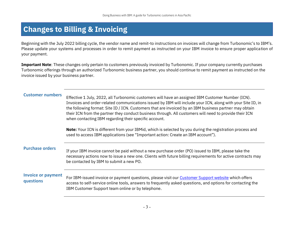## <span id="page-3-0"></span>**Changes to Billing & Invoicing**

Beginning with the July 2022 billing cycle, the vendor name and remit-to instructions on invoices will change from Turbonomic's to IBM's. Please update your systems and processes in order to remit payment as instructed on your IBM invoice to ensure proper application of your payment.

**Important Note**: These changes only pertain to customers previously invoiced by Turbonomic. If your company currently purchases Turbonomic offerings through an authorized Turbonomic business partner, you should continue to remit payment as instructed on the invoice issued by your business partner.

<span id="page-3-1"></span>**Customer numbers** Effective 1 July, 2022, all Turbonomic customers will have an assigned IBM Customer Number (ICN). Invoices and order-related communications issued by IBM will include your ICN, along with your Site ID, in the following format: Site ID / ICN. Customers that are invoiced by an IBM business partner may obtain their ICN from the partner they conduct business through. All customers will need to provide their ICN when contacting IBM regarding their specific account.

> **Note:** Your ICN is different from your IBMid, which is selected by you during the registration process and used to access IBM applications (see "Important action: Create an IBM account").

**Purchase orders** If your IBM invoice cannot be paid without a new purchase order (PO) issued to IBM, please take the necessary actions now to issue a new one. Clients with future billing requirements for active contracts may be contacted by IBM to submit a new PO.

#### **Invoice or payment questions**

For IBM-issued invoice or payment questions, please visit our [Customer Support website](https://www.ibm.com/support/pages/node/6347580) which offers access to self-service online tools, answers to frequently asked questions, and options for contacting the IBM Customer Support team online or by telephone.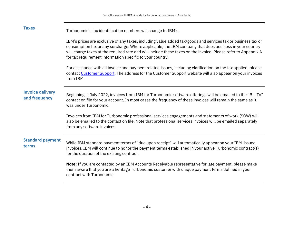| <b>Taxes</b>                             | Turbonomic's tax identification numbers will change to IBM's.                                                                                                                                                                                                                                                                                                                                         |
|------------------------------------------|-------------------------------------------------------------------------------------------------------------------------------------------------------------------------------------------------------------------------------------------------------------------------------------------------------------------------------------------------------------------------------------------------------|
|                                          | IBM's prices are exclusive of any taxes, including value added tax/goods and services tax or business tax or<br>consumption tax or any surcharge. Where applicable, the IBM company that does business in your country<br>will charge taxes at the required rate and will include these taxes on the invoice. Please refer to Appendix A<br>for tax requirement information specific to your country. |
|                                          | For assistance with all invoice and payment related issues, including clarification on the tax applied, please<br>contact Customer Support. The address for the Customer Support website will also appear on your invoices<br>from IBM.                                                                                                                                                               |
| <b>Invoice delivery</b><br>and frequency | Beginning in July 2022, invoices from IBM for Turbonomic software offerings will be emailed to the "Bill To"<br>contact on file for your account. In most cases the frequency of these invoices will remain the same as it<br>was under Turbonomic.                                                                                                                                                   |
|                                          | Invoices from IBM for Turbonomic professional services engagements and statements of work (SOW) will<br>also be emailed to the contact on file. Note that professional services invoices will be emailed separately<br>from any software invoices.                                                                                                                                                    |
| <b>Standard payment</b><br>terms         | While IBM standard payment terms of "due upon receipt" will automatically appear on your IBM-issued<br>invoices, IBM will continue to honor the payment terms established in your active Turbonomic contract(s)<br>for the duration of the existing contract.                                                                                                                                         |
|                                          | <b>Note:</b> If you are contacted by an IBM Accounts Receivable representative for late payment, please make<br>them aware that you are a heritage Turbonomic customer with unique payment terms defined in your<br>contract with Turbonomic.                                                                                                                                                         |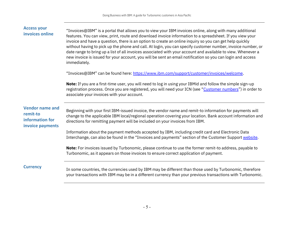| <b>Access your</b><br>invoices online                                     | "Invoices@IBM" is a portal that allows you to view your IBM invoices online, along with many additional<br>features. You can view, print, route and download invoice information to a spreadsheet. If you view your<br>invoice and have a question, there is an option to create an online inquiry so you can get help quickly<br>without having to pick up the phone and call. At login, you can specify customer number, invoice number, or<br>date range to bring up a list of all invoices associated with your account and available to view. Whenever a<br>new invoice is issued for your account, you will be sent an email notification so you can login and access<br>immediately.<br>"Invoices@IBM" can be found here: https://www.ibm.com/support/customer/invoices/welcome.<br>Note: If you are a first-time user, you will need to log in using your IBMid and follow the simple sign-up<br>registration process. Once you are registered, you will need your ICN (see "Customer numbers") in order to<br>associate your invoices with your account. |
|---------------------------------------------------------------------------|-------------------------------------------------------------------------------------------------------------------------------------------------------------------------------------------------------------------------------------------------------------------------------------------------------------------------------------------------------------------------------------------------------------------------------------------------------------------------------------------------------------------------------------------------------------------------------------------------------------------------------------------------------------------------------------------------------------------------------------------------------------------------------------------------------------------------------------------------------------------------------------------------------------------------------------------------------------------------------------------------------------------------------------------------------------------|
| <b>Vendor name and</b><br>remit-to<br>information for<br>invoice payments | Beginning with your first IBM-issued invoice, the vendor name and remit-to information for payments will<br>change to the applicable IBM local/regional operation covering your location. Bank account information and<br>directions for remitting payment will be included on your invoices from IBM.<br>Information about the payment methods accepted by IBM, including credit card and Electronic Data<br>Interchange, can also be found in the "Invoices and payments" section of the Customer Support website.<br>Note: For invoices issued by Turbonomic, please continue to use the former remit-to address, payable to<br>Turbonomic, as it appears on those invoices to ensure correct application of payment.                                                                                                                                                                                                                                                                                                                                          |
| <b>Currency</b>                                                           | In some countries, the currencies used by IBM may be different than those used by Turbonomic, therefore<br>your transactions with IBM may be in a different currency than your previous transactions with Turbonomic.                                                                                                                                                                                                                                                                                                                                                                                                                                                                                                                                                                                                                                                                                                                                                                                                                                             |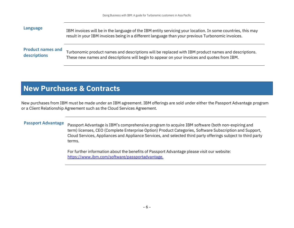| Language                 | IBM invoices will be in the language of the IBM entity servicing your location. In some countries, this may<br>result in your IBM invoices being in a different language than your previous Turbonomic invoices. |
|--------------------------|------------------------------------------------------------------------------------------------------------------------------------------------------------------------------------------------------------------|
| <b>Product names and</b> | Turbonomic product names and descriptions will be replaced with IBM product names and descriptions.                                                                                                              |
| descriptions             | These new names and descriptions will begin to appear on your invoices and quotes from IBM.                                                                                                                      |

## <span id="page-6-0"></span>**New Purchases & Contracts**

New purchases from IBM must be made under an IBM agreement. IBM offerings are sold under either the Passport Advantage program or a Client Relationship Agreement such as the Cloud Services Agreement.

**Passport Advantage** Passport Advantage is IBM's comprehensive program to acquire IBM software (both non-expiring and term) licenses, CEO (Complete Enterprise Option) Product Categories, Software Subscription and Support, Cloud Services, Appliances and Appliance Services, and selected third party offerings subject to third party terms.

> For further information about the benefits of Passport Advantage please visit our website: [https://www.ibm.com/software/passportadvantage.](https://www.ibm.com/software/passportadvantage)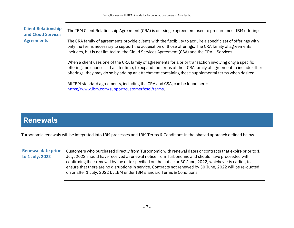#### **Client Relationship and Cloud Services Agreements** The IBM Client Relationship Agreement (CRA) is our single agreement used to procure most IBM offerings. The CRA family of agreements provide clients with the flexibility to acquire a specific set of offerings with only the terms necessary to support the acquisition of those offerings. The CRA family of agreements includes, but is not limited to, the Cloud Services Agreement (CSA) and the CRA - Services.

When a client uses one of the CRA family of agreements for a prior transaction involving only a specific offering and chooses, at a later time, to expand the terms of their CRA family of agreement to include other offerings, they may do so by adding an attachment containing those supplemental terms when desired.

All IBM standard agreements, including the CRA and CSA, can be found here: [https://www.ibm.com/support/customer/csol/terms.](https://www.ibm.com/support/customer/csol/terms)

### <span id="page-7-0"></span>**Renewals**

Turbonomic renewals will be integrated into IBM processes and IBM Terms & Conditions in the phased approach defined below.

**Renewal date prior to 1 July, 2022**

Customers who purchased directly from Turbonomic with renewal dates or contracts that expire prior to 1 July, 2022 should have received a renewal notice from Turbonomic and should have proceeded with confirming their renewal by the date specified on the notice or 30 June, 2022, whichever is earlier, to ensure that there are no disruptions in service. Contracts not renewed by 30 June, 2022 will be re-quoted on or after 1 July, 2022 by IBM under IBM standard Terms & Conditions.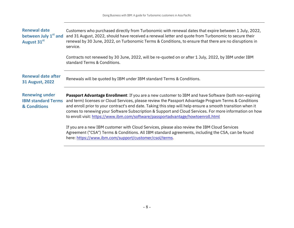| <b>Renewal date</b><br>between July 1 <sup>st</sup> and<br>August 31st | Customers who purchased directly from Turbonomic with renewal dates that expire between 1 July, 2022,<br>and 31 August, 2022, should have received a renewal letter and quote from Turbonomic to secure their<br>renewal by 30 June, 2022, on Turbonomic Terms & Conditions, to ensure that there are no disruptions in<br>service.                                                                                                                                                                                        |
|------------------------------------------------------------------------|----------------------------------------------------------------------------------------------------------------------------------------------------------------------------------------------------------------------------------------------------------------------------------------------------------------------------------------------------------------------------------------------------------------------------------------------------------------------------------------------------------------------------|
|                                                                        | Contracts not renewed by 30 June, 2022, will be re-quoted on or after 1 July, 2022, by IBM under IBM<br>standard Terms & Conditions.                                                                                                                                                                                                                                                                                                                                                                                       |
| <b>Renewal date after</b><br><b>31 August, 2022</b>                    | Renewals will be quoted by IBM under IBM standard Terms & Conditions.                                                                                                                                                                                                                                                                                                                                                                                                                                                      |
| <b>Renewing under</b><br><b>IBM standard Terms</b><br>& Conditions     | Passport Advantage Enrollment: If you are a new customer to IBM and have Software (both non-expiring<br>and term) licenses or Cloud Services, please review the Passport Advantage Program Terms & Conditions<br>and enroll prior to your contract's end date. Taking this step will help ensure a smooth transition when it<br>comes to renewing your Software Subscription & Support and Cloud Services. For more information on how<br>to enroll visit: https://www.ibm.com/software/passportadvantage/howtoenroll.html |
|                                                                        | If you are a new IBM customer with Cloud Services, please also review the IBM Cloud Services<br>Agreement ("CSA") Terms & Conditions. All IBM standard agreements, including the CSA, can be found<br>here: https://www.ibm.com/support/customer/csol/terms.                                                                                                                                                                                                                                                               |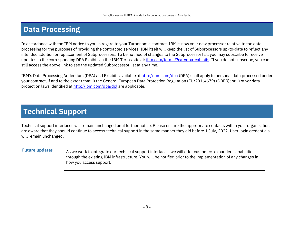## <span id="page-9-0"></span>**Data Processing**

In accordance with the IBM notice to you in regard to your Turbonomic contract, IBM is now your new processor relative to the data processing for the purposes of providing the contracted services. IBM itself will keep the list of Subprocessors up-to-date to reflect any intended addition or replacement of Subprocessors. To be notified of changes to the Subprocessor list, you may subscribe to receive updates to the corresponding DPA Exhibit via the IBM Terms site at: [ibm.com/terms/?cat=dpa-exhibits.](http://ibm.com/terms/?cat=dpa-exhibits) If you do not subscribe, you can still access the above link to see the updated Subprocessor list at any time.

IBM's Data Processing Addendum (DPA) and Exhibits available at <http://ibm.com/dpa> (DPA) shall apply to personal data processed under your contract, if and to the extent that: i) the General European Data Protection Regulation (EU/2016/679) (GDPR); or ii) other data protection laws identified at <http://ibm.com/dpa/dpl> are applicable.

## **Technical Support**

Technical support interfaces will remain unchanged until further notice. Please ensure the appropriate contacts within your organization are aware that they should continue to access technical support in the same manner they did before 1 July, 2022. User login credentials will remain unchanged.

**Future updates** As we work to integrate our technical support interfaces, we will offer customers expanded capabilities through the existing IBM infrastructure. You will be notified prior to the implementation of any changes in how you access support.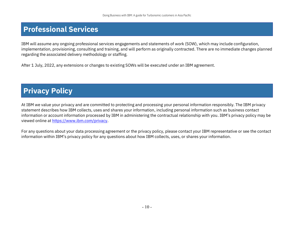## <span id="page-10-1"></span>**Professional Services**

IBM will assume any ongoing professional services engagements and statements of work (SOW), which may include configuration, implementation, provisioning, consulting and training, and will perform as originally contracted. There are no immediate changes planned regarding the associated delivery methodology or staffing.

After 1 July, 2022, any extensions or changes to existing SOWs will be executed under an IBM agreement.

## <span id="page-10-2"></span>**Privacy Policy**

At IBM we value your privacy and are committed to protecting and processing your personal information responsibly. The IBM privacy statement describes how IBM collects, uses and shares your information, including personal information such as business contact information or account information processed by IBM in administering the contractual relationship with you. IBM's privacy policy may be viewed online a[t https://www.ibm.com/privacy.](https://www.ibm.com/privacy)

<span id="page-10-0"></span>For any questions about your data processing agreement or the privacy policy, please contact your IBM representative or see the contact information within IBM's privacy policy for any questions about how IBM collects, uses, or shares your information.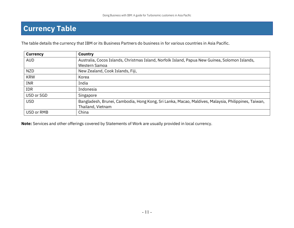## <span id="page-11-0"></span>**Currency Table**

The table details the currency that IBM or its Business Partners do business in for various countries in Asia Pacific.

| <b>Currency</b> | <b>Country</b>                                                                                      |
|-----------------|-----------------------------------------------------------------------------------------------------|
| <b>AUD</b>      | Australia, Cocos Islands, Christmas Island, Norfolk Island, Papua New Guinea, Solomon Islands,      |
|                 | Western Samoa                                                                                       |
| <b>NZD</b>      | New Zealand, Cook Islands, Fiji,                                                                    |
| <b>KRW</b>      | Korea                                                                                               |
| <b>INR</b>      | India                                                                                               |
| IDR             | Indonesia                                                                                           |
| USD or SGD      | Singapore                                                                                           |
| <b>USD</b>      | Bangladesh, Brunei, Cambodia, Hong Kong, Sri Lanka, Macao, Maldives, Malaysia, Philippines, Taiwan, |
|                 | Thailand, Vietnam                                                                                   |
| USD or RMB      | China                                                                                               |

**Note:** Services and other offerings covered by Statements of Work are usually provided in local currency.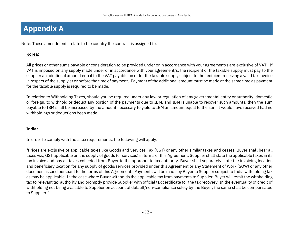## <span id="page-12-0"></span>**Appendix A**

Note: These amendments relate to the country the contract is assigned to.

#### **Korea:**

All prices or other sums payable or consideration to be provided under or in accordance with your agreement/s are exclusive of VAT. If VAT is imposed on any supply made under or in accordance with your agreement/s, the recipient of the taxable supply must pay to the supplier an additional amount equal to the VAT payable on or for the taxable supply subject to the recipient receiving a valid tax invoice in respect of the supply at or before the time of payment. Payment of the additional amount must be made at the same time as payment for the taxable supply is required to be made.

In relation to Withholding Taxes, should you be required under any law or regulation of any governmental entity or authority, domestic or foreign, to withhold or deduct any portion of the payments due to IBM, and IBM is unable to recover such amounts, then the sum payable to IBM shall be increased by the amount necessary to yield to IBM an amount equal to the sum it would have received had no withholdings or deductions been made.

#### **India:**

In order to comply with India tax requirements, the following will apply:

"Prices are exclusive of applicable taxes like Goods and Services Tax (GST) or any other similar taxes and cesses. Buyer shall bear all taxes viz., GST applicable on the supply of goods (or services) in terms of this Agreement. Supplier shall state the applicable taxes in its tax invoice and pay all taxes collected from Buyer to the appropriate tax authority. Buyer shall separately state the invoicing location and beneficiary location for any supply of goods/services provided under this Agreement or any Statement of Work (SOW) or any other document issued pursuant to the terms of this Agreement. Payments will be made by Buyer to Supplier subject to India withholding tax as may be applicable. In the case where Buyer withholds the applicable tax from payments to Supplier, Buyer will remit the withholding tax to relevant tax authority and promptly provide Supplier with official tax certificate for the tax recovery. In the eventuality of credit of withholding not being available to Supplier on account of default/non-compliance solely by the Buyer, the same shall be compensated to Supplier."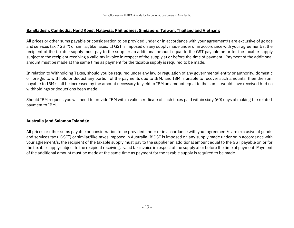#### **Bangladesh, Cambodia, Hong Kong, Malaysia, Philippines, Singapore, Taiwan, Thailand and Vietnam:**

All prices or other sums payable or consideration to be provided under or in accordance with your agreement/s are exclusive of goods and services tax ("GST") or similar/like taxes. If GST is imposed on any supply made under or in accordance with your agreement/s, the recipient of the taxable supply must pay to the supplier an additional amount equal to the GST payable on or for the taxable supply subject to the recipient receiving a valid tax invoice in respect of the supply at or before the time of payment. Payment of the additional amount must be made at the same time as payment for the taxable supply is required to be made.

In relation to Withholding Taxes, should you be required under any law or regulation of any governmental entity or authority, domestic or foreign, to withhold or deduct any portion of the payments due to IBM, and IBM is unable to recover such amounts, then the sum payable to IBM shall be increased by the amount necessary to yield to IBM an amount equal to the sum it would have received had no withholdings or deductions been made.

Should IBM request, you will need to provide IBM with a valid certificate of such taxes paid within sixty (60) days of making the related payment to IBM.

#### **Australia (and Solomon Islands):**

All prices or other sums payable or consideration to be provided under or in accordance with your agreement/s are exclusive of goods and services tax ("GST") or similar/like taxes imposed in Australia. If GST is imposed on any supply made under or in accordance with your agreement/s, the recipient of the taxable supply must pay to the supplier an additional amount equal to the GST payable on or for the taxable supply subject to the recipient receiving a valid tax invoice in respect of the supply at or before the time of payment. Payment of the additional amount must be made at the same time as payment for the taxable supply is required to be made.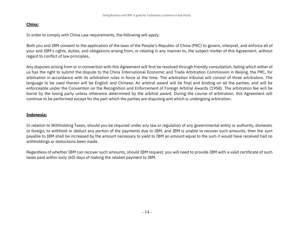#### **China:**

In order to comply with China Law requirements, the following will apply:

Both you and IBM consent to the application of the laws of the People's Republic of China (PRC) to govern, interpret, and enforce all of your and IBM's rights, duties, and obligations arising from, or relating in any manner to, the subject matter of this Agreement, without regard to conflict of law principles**.**

Any disputes arising from or in connection with this Agreement will first be resolved through friendly consultation, failing which either of us has the right to submit the dispute to the China International Economic and Trade Arbitration Commission in Beijing, the PRC, for arbitration in accordance with its arbitration rules in force at the time. The arbitration tribunal will consist of three arbitrators. The language to be used therein will be English and Chinese. An arbitral award will be final and binding on all the parties, and will be enforceable under the Convention on the Recognition and Enforcement of Foreign Arbitral Awards (1958). The arbitration fee will be borne by the losing party unless otherwise determined by the arbitral award. During the course of arbitration, this Agreement will continue to be performed except for the part which the parties are disputing and which is undergoing arbitration.

#### **Indonesia:**

In relation to Withholding Taxes, should you be required under any law or regulation of any governmental entity or authority, domestic or foreign, to withhold or deduct any portion of the payments due to IBM, and IBM is unable to recover such amounts, then the sum payable to IBM shall be increased by the amount necessary to yield to IBM an amount equal to the sum it would have received had no withholdings or deductions been made.

Regardless of whether IBM can recover such amounts, should IBM request, you will need to provide IBM with a valid certificate of such taxes paid within sixty (60) days of making the related payment to IBM.